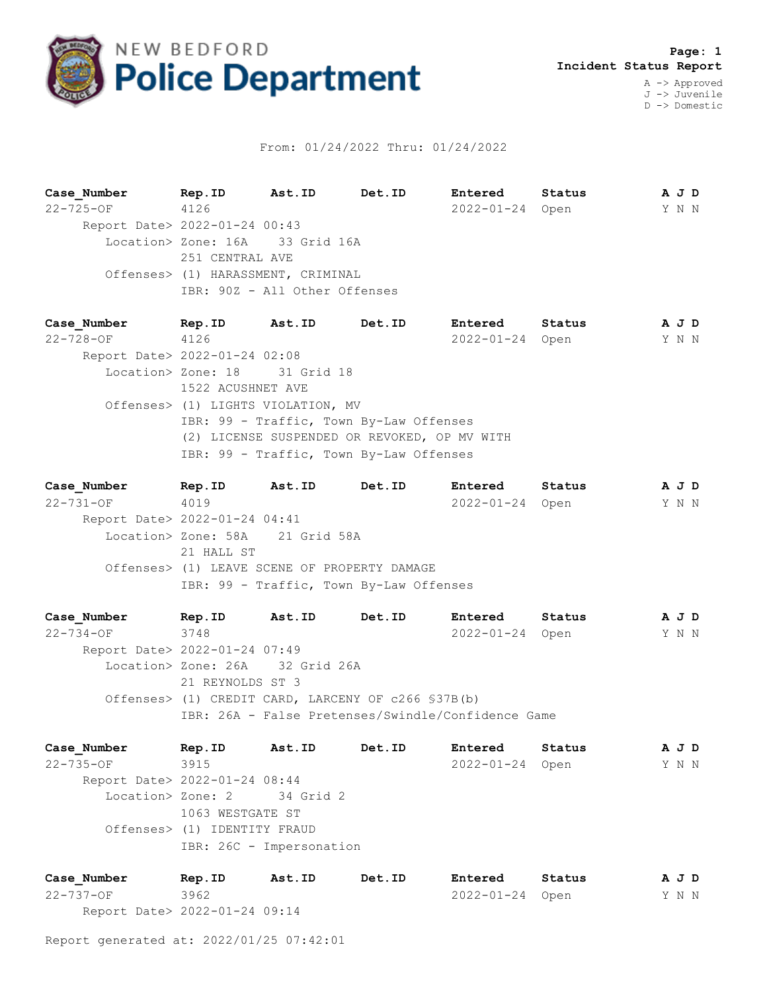

## From: 01/24/2022 Thru: 01/24/2022

**Case\_Number Rep.ID Ast.ID Det.ID Entered Status A J D** 22-725-OF 4126 2022-01-24 Open Y N N Report Date> 2022-01-24 00:43 Location> Zone: 16A 33 Grid 16A 251 CENTRAL AVE Offenses> (1) HARASSMENT, CRIMINAL IBR: 90Z - All Other Offenses

**Case\_Number Rep.ID Ast.ID Det.ID Entered Status A J D** 22-728-OF 4126 2022-01-24 Open Y N N Report Date> 2022-01-24 02:08 Location> Zone: 18 31 Grid 18 1522 ACUSHNET AVE Offenses> (1) LIGHTS VIOLATION, MV IBR: 99 - Traffic, Town By-Law Offenses (2) LICENSE SUSPENDED OR REVOKED, OP MV WITH IBR: 99 - Traffic, Town By-Law Offenses

**Case\_Number Rep.ID Ast.ID Det.ID Entered Status A J D** 22-731-OF 4019 2022-01-24 Open Y N N Report Date> 2022-01-24 04:41 Location> Zone: 58A 21 Grid 58A 21 HALL ST Offenses> (1) LEAVE SCENE OF PROPERTY DAMAGE IBR: 99 - Traffic, Town By-Law Offenses

**Case\_Number Rep.ID Ast.ID Det.ID Entered Status A J D** 22-734-OF 3748 2022-01-24 Open Y N N Report Date> 2022-01-24 07:49 Location> Zone: 26A 32 Grid 26A 21 REYNOLDS ST 3 Offenses> (1) CREDIT CARD, LARCENY OF c266 §37B(b) IBR: 26A - False Pretenses/Swindle/Confidence Game

**Case\_Number Rep.ID Ast.ID Det.ID Entered Status A J D** 22-735-OF 3915 2022-01-24 Open Y N N Report Date> 2022-01-24 08:44 Location> Zone: 2 34 Grid 2 1063 WESTGATE ST Offenses> (1) IDENTITY FRAUD IBR: 26C - Impersonation

| Case Number                   | Rep.ID | Ast.ID | Det.ID | Entered         | Status | AJD   |  |
|-------------------------------|--------|--------|--------|-----------------|--------|-------|--|
| 22-737-OF                     | 3962   |        |        | 2022-01-24 Open |        | Y N N |  |
| Report Date> 2022-01-24 09:14 |        |        |        |                 |        |       |  |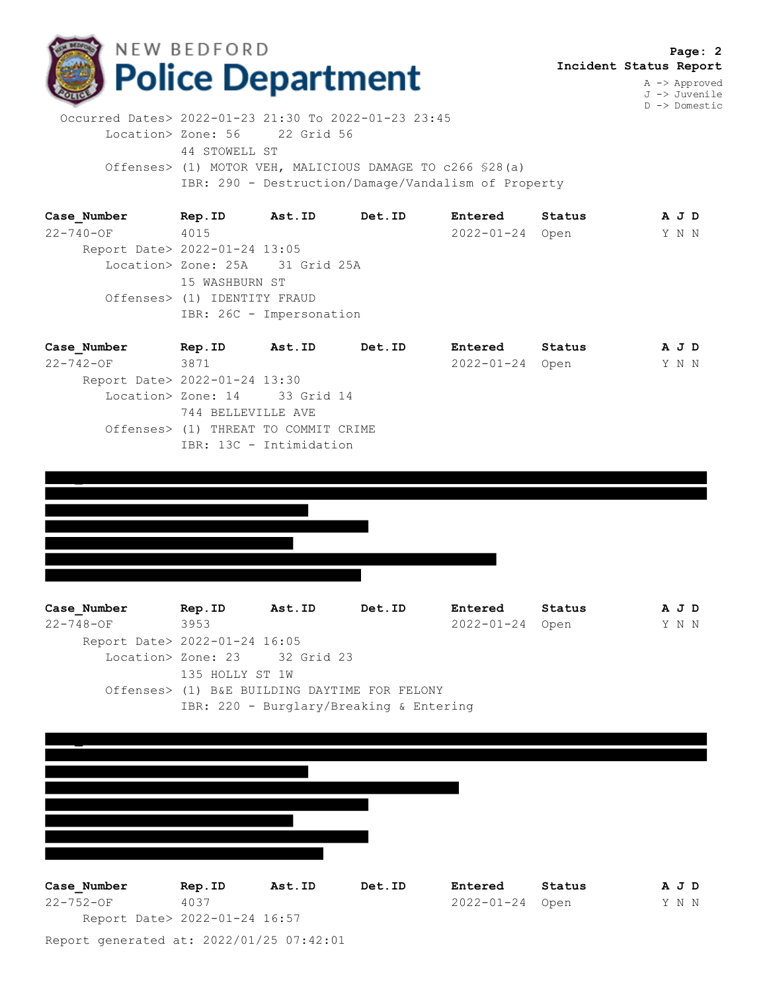

A -> Approved J -> Juvenile D -> Domestic

 Occurred Dates> 2022-01-23 21:30 To 2022-01-23 23:45 Location> Zone: 56 22 Grid 56 44 STOWELL ST Offenses> (1) MOTOR VEH, MALICIOUS DAMAGE TO c266 §28(a) IBR: 290 - Destruction/Damage/Vandalism of Property

**Case\_Number Rep.ID Ast.ID Det.ID Entered Status A J D** 22-740-OF 4015 2022-01-24 Open Y N N Report Date> 2022-01-24 13:05 Location> Zone: 25A 31 Grid 25A 15 WASHBURN ST Offenses> (1) IDENTITY FRAUD IBR: 26C - Impersonation

| Case Number                   | Rep.ID                               | Ast.ID                  | Det.ID | Entered         | Status | A J D |  |
|-------------------------------|--------------------------------------|-------------------------|--------|-----------------|--------|-------|--|
| $22 - 742 - OF$               | 3871                                 |                         |        | 2022-01-24 Open |        | Y N N |  |
| Report Date> 2022-01-24 13:30 |                                      |                         |        |                 |        |       |  |
|                               | Location> Zone: 14 33 Grid 14        |                         |        |                 |        |       |  |
|                               | 744 BELLEVILLE AVE                   |                         |        |                 |        |       |  |
|                               | Offenses> (1) THREAT TO COMMIT CRIME |                         |        |                 |        |       |  |
|                               |                                      | IBR: 13C - Intimidation |        |                 |        |       |  |



 Report Date> 2022-01-24 16:05 Location> Zone: 23 32 Grid 23 135 HOLLY ST 1W Offenses> (1) B&E BUILDING DAYTIME FOR FELONY IBR: 220 - Burglary/Breaking & Entering



Report generated at: 2022/01/25 07:42:01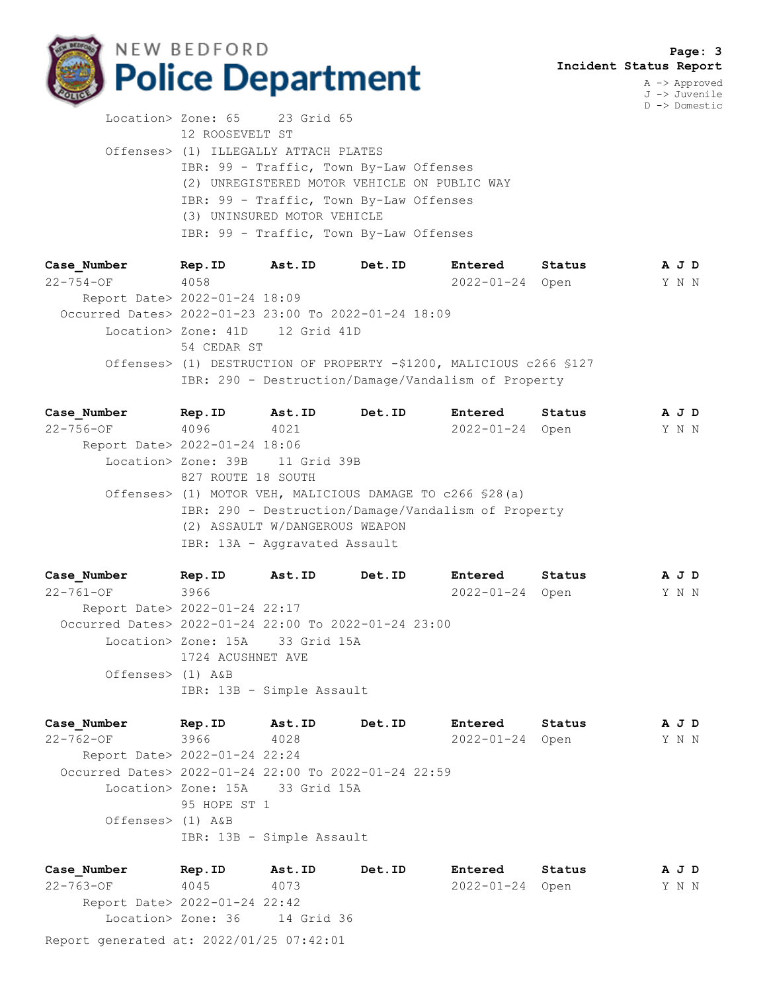

A -> Approved J -> Juvenile D -> Domestic

Location> Zone: 65 23 Grid 65 12 ROOSEVELT ST Offenses> (1) ILLEGALLY ATTACH PLATES IBR: 99 - Traffic, Town By-Law Offenses (2) UNREGISTERED MOTOR VEHICLE ON PUBLIC WAY IBR: 99 - Traffic, Town By-Law Offenses (3) UNINSURED MOTOR VEHICLE IBR: 99 - Traffic, Town By-Law Offenses

**Case\_Number Rep.ID Ast.ID Det.ID Entered Status A J D** 22-754-OF 4058 2022-01-24 Open Y N N Report Date> 2022-01-24 18:09 Occurred Dates> 2022-01-23 23:00 To 2022-01-24 18:09 Location> Zone: 41D 12 Grid 41D 54 CEDAR ST Offenses> (1) DESTRUCTION OF PROPERTY -\$1200, MALICIOUS c266 §127 IBR: 290 - Destruction/Damage/Vandalism of Property

**Case\_Number Rep.ID Ast.ID Det.ID Entered Status A J D** 22-756-OF 4096 4021 2022-01-24 Open Y N N Report Date> 2022-01-24 18:06 Location> Zone: 39B 11 Grid 39B 827 ROUTE 18 SOUTH Offenses> (1) MOTOR VEH, MALICIOUS DAMAGE TO c266 §28(a) IBR: 290 - Destruction/Damage/Vandalism of Property (2) ASSAULT W/DANGEROUS WEAPON IBR: 13A - Aggravated Assault

**Case\_Number Rep.ID Ast.ID Det.ID Entered Status A J D** 22-761-OF 3966 2022-01-24 Open Y N N Report Date> 2022-01-24 22:17 Occurred Dates> 2022-01-24 22:00 To 2022-01-24 23:00 Location> Zone: 15A 33 Grid 15A 1724 ACUSHNET AVE Offenses> (1) A&B IBR: 13B - Simple Assault

**Case\_Number Rep.ID Ast.ID Det.ID Entered Status A J D** 22-762-OF 3966 4028 2022-01-24 Open Y N N Report Date> 2022-01-24 22:24 Occurred Dates> 2022-01-24 22:00 To 2022-01-24 22:59 Location> Zone: 15A 33 Grid 15A 95 HOPE ST 1 Offenses> (1) A&B IBR: 13B - Simple Assault

**Case\_Number Rep.ID Ast.ID Det.ID Entered Status A J D** 22-763-OF 4045 4073 2022-01-24 Open Y N N Report Date> 2022-01-24 22:42 Location> Zone: 36 14 Grid 36

Report generated at: 2022/01/25 07:42:01